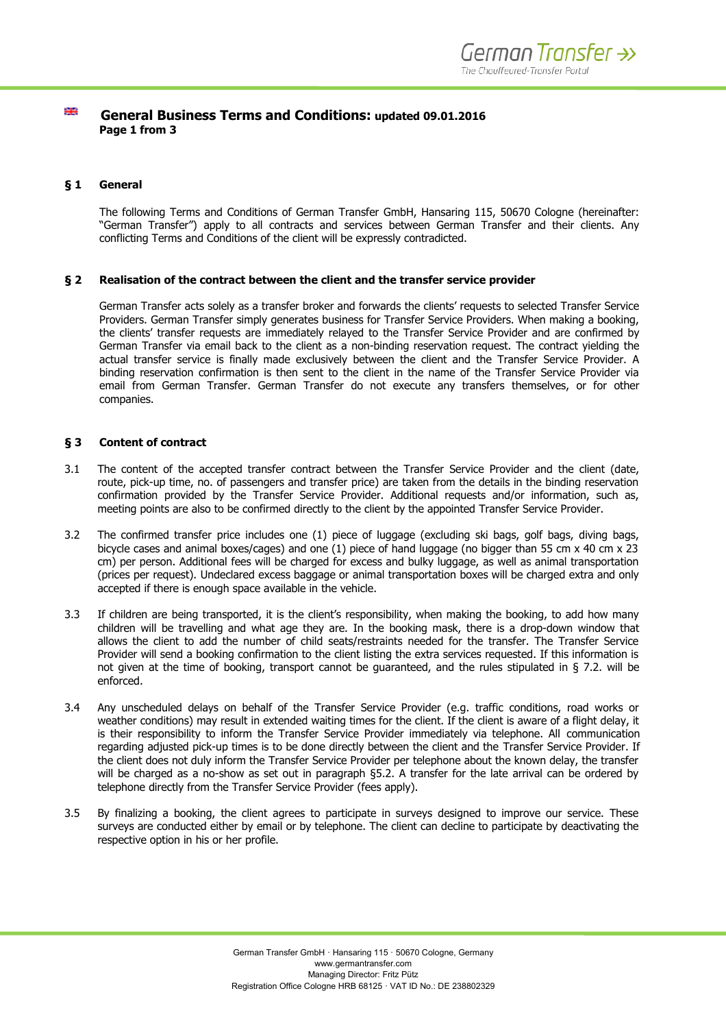#### 꼭분  **General Business Terms and Conditions: updated 09.01.2016 Page 1 from 3**

# **§ 1 General**

The following Terms and Conditions of German Transfer GmbH, Hansaring 115, 50670 Cologne (hereinafter: "German Transfer") apply to all contracts and services between German Transfer and their clients. Any conflicting Terms and Conditions of the client will be expressly contradicted.

## **§ 2 Realisation of the contract between the client and the transfer service provider**

German Transfer acts solely as a transfer broker and forwards the clients' requests to selected Transfer Service Providers. German Transfer simply generates business for Transfer Service Providers. When making a booking, the clients' transfer requests are immediately relayed to the Transfer Service Provider and are confirmed by German Transfer via email back to the client as a non-binding reservation request. The contract yielding the actual transfer service is finally made exclusively between the client and the Transfer Service Provider. A binding reservation confirmation is then sent to the client in the name of the Transfer Service Provider via email from German Transfer. German Transfer do not execute any transfers themselves, or for other companies.

# **§ 3 Content of contract**

- 3.1 The content of the accepted transfer contract between the Transfer Service Provider and the client (date, route, pick-up time, no. of passengers and transfer price) are taken from the details in the binding reservation confirmation provided by the Transfer Service Provider. Additional requests and/or information, such as, meeting points are also to be confirmed directly to the client by the appointed Transfer Service Provider.
- 3.2 The confirmed transfer price includes one (1) piece of luggage (excluding ski bags, golf bags, diving bags, bicycle cases and animal boxes/cages) and one (1) piece of hand luggage (no bigger than 55 cm x 40 cm x 23 cm) per person. Additional fees will be charged for excess and bulky luggage, as well as animal transportation (prices per request). Undeclared excess baggage or animal transportation boxes will be charged extra and only accepted if there is enough space available in the vehicle.
- 3.3 If children are being transported, it is the client's responsibility, when making the booking, to add how many children will be travelling and what age they are. In the booking mask, there is a drop-down window that allows the client to add the number of child seats/restraints needed for the transfer. The Transfer Service Provider will send a booking confirmation to the client listing the extra services requested. If this information is not given at the time of booking, transport cannot be guaranteed, and the rules stipulated in § 7.2. will be enforced.
- 3.4 Any unscheduled delays on behalf of the Transfer Service Provider (e.g. traffic conditions, road works or weather conditions) may result in extended waiting times for the client. If the client is aware of a flight delay, it is their responsibility to inform the Transfer Service Provider immediately via telephone. All communication regarding adjusted pick-up times is to be done directly between the client and the Transfer Service Provider. If the client does not duly inform the Transfer Service Provider per telephone about the known delay, the transfer will be charged as a no-show as set out in paragraph §5.2. A transfer for the late arrival can be ordered by telephone directly from the Transfer Service Provider (fees apply).
- 3.5 By finalizing a booking, the client agrees to participate in surveys designed to improve our service. These surveys are conducted either by email or by telephone. The client can decline to participate by deactivating the respective option in his or her profile.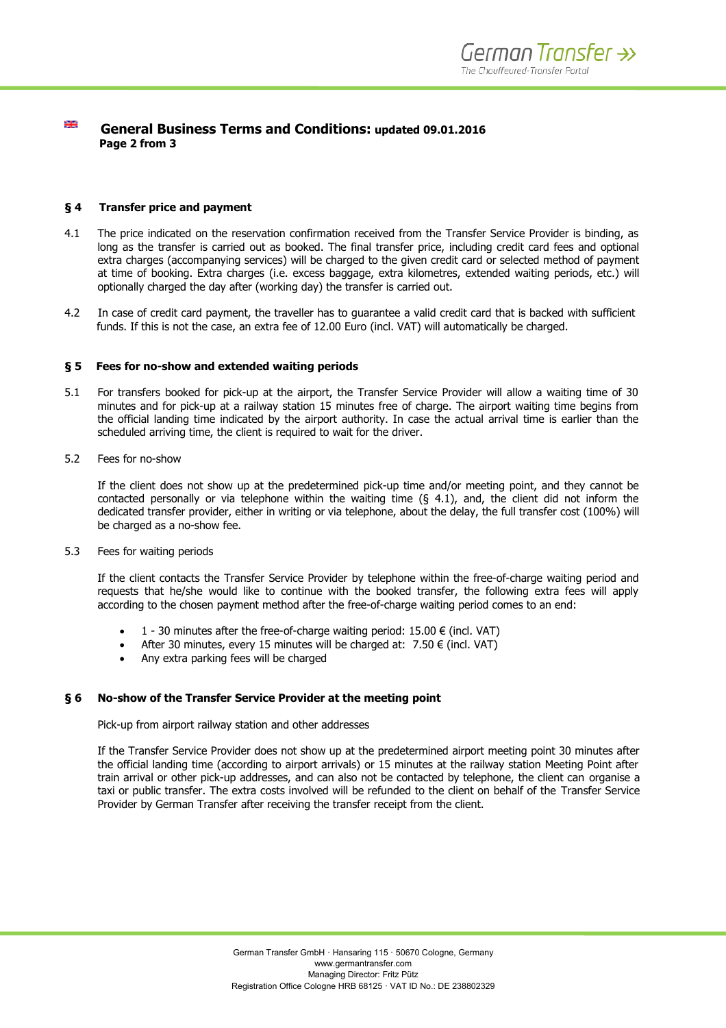#### 꽃  **General Business Terms and Conditions: updated 09.01.2016 Page 2 from 3**

## **§ 4 Transfer price and payment**

- 4.1 The price indicated on the reservation confirmation received from the Transfer Service Provider is binding, as long as the transfer is carried out as booked. The final transfer price, including credit card fees and optional extra charges (accompanying services) will be charged to the given credit card or selected method of payment at time of booking. Extra charges (i.e. excess baggage, extra kilometres, extended waiting periods, etc.) will optionally charged the day after (working day) the transfer is carried out.
- 4.2 In case of credit card payment, the traveller has to guarantee a valid credit card that is backed with sufficient funds. If this is not the case, an extra fee of 12.00 Euro (incl. VAT) will automatically be charged.

### **§ 5 Fees for no-show and extended waiting periods**

- 5.1 For transfers booked for pick-up at the airport, the Transfer Service Provider will allow a waiting time of 30 minutes and for pick-up at a railway station 15 minutes free of charge. The airport waiting time begins from the official landing time indicated by the airport authority. In case the actual arrival time is earlier than the scheduled arriving time, the client is required to wait for the driver.
- 5.2 Fees for no-show

If the client does not show up at the predetermined pick-up time and/or meeting point, and they cannot be contacted personally or via telephone within the waiting time  $(§ 4.1)$ , and, the client did not inform the dedicated transfer provider, either in writing or via telephone, about the delay, the full transfer cost (100%) will be charged as a no-show fee.

5.3 Fees for waiting periods

If the client contacts the Transfer Service Provider by telephone within the free-of-charge waiting period and requests that he/she would like to continue with the booked transfer, the following extra fees will apply according to the chosen payment method after the free-of-charge waiting period comes to an end:

- $\bullet$  1 30 minutes after the free-of-charge waiting period: 15.00  $\epsilon$  (incl. VAT)
- After 30 minutes, every 15 minutes will be charged at:  $7.50 \in (incl. VAT)$
- Any extra parking fees will be charged

### **§ 6 No-show of the Transfer Service Provider at the meeting point**

Pick-up from airport railway station and other addresses

If the Transfer Service Provider does not show up at the predetermined airport meeting point 30 minutes after the official landing time (according to airport arrivals) or 15 minutes at the railway station Meeting Point after train arrival or other pick-up addresses, and can also not be contacted by telephone, the client can organise a taxi or public transfer. The extra costs involved will be refunded to the client on behalf of the Transfer Service Provider by German Transfer after receiving the transfer receipt from the client.